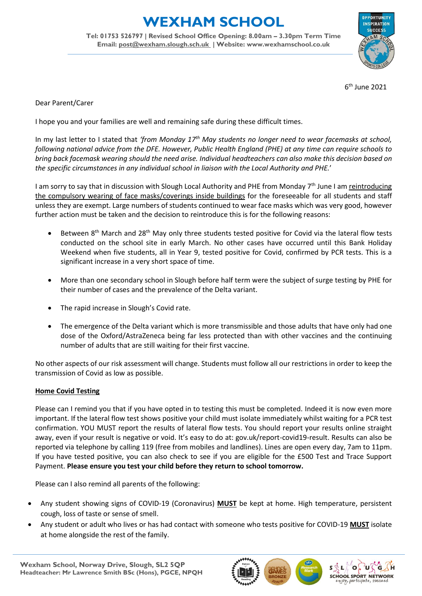## **WEXHAM SCHOOL**

**Tel: 01753 526797 | Revised School Office Opening: 8.00am – 3.30pm Term Time Email: [post@wexham.slough.sch.uk](mailto:post@wexham.slough.sch.uk) | Website: www.wexhamschool.co.uk**



6 th June 2021

Dear Parent/Carer

I hope you and your families are well and remaining safe during these difficult times.

In my last letter to I stated that *'from Monday 17th May students no longer need to wear facemasks at school, following national advice from the DFE. However, Public Health England (PHE) at any time can require schools to bring back facemask wearing should the need arise. Individual headteachers can also make this decision based on the specific circumstances in any individual school in liaison with the Local Authority and PHE.*'

I am sorry to say that in discussion with Slough Local Authority and PHE from Monday 7<sup>th</sup> June I am reintroducing the compulsory wearing of face masks/coverings inside buildings for the foreseeable for all students and staff unless they are exempt. Large numbers of students continued to wear face masks which was very good, however further action must be taken and the decision to reintroduce this is for the following reasons:

- **Between 8th March and 28th May only three students tested positive for Covid via the lateral flow tests** conducted on the school site in early March. No other cases have occurred until this Bank Holiday Weekend when five students, all in Year 9, tested positive for Covid, confirmed by PCR tests. This is a significant increase in a very short space of time.
- More than one secondary school in Slough before half term were the subject of surge testing by PHE for their number of cases and the prevalence of the Delta variant.
- The rapid increase in Slough's Covid rate.
- The emergence of the Delta variant which is more transmissible and those adults that have only had one dose of the Oxford/AstraZeneca being far less protected than with other vaccines and the continuing number of adults that are still waiting for their first vaccine.

No other aspects of our risk assessment will change. Students must follow all our restrictions in order to keep the transmission of Covid as low as possible.

## **Home Covid Testing**

Please can I remind you that if you have opted in to testing this must be completed. Indeed it is now even more important. If the lateral flow test shows positive your child must isolate immediately whilst waiting for a PCR test confirmation. YOU MUST report the results of lateral flow tests. You should report your results online straight away, even if your result is negative or void. It's easy to do at: gov.uk/report-covid19-result. Results can also be reported via telephone by calling 119 (free from mobiles and landlines). Lines are open every day, 7am to 11pm. If you have tested positive, you can also check to see if you are eligible for the £500 Test and Trace Support Payment. **Please ensure you test your child before they return to school tomorrow.**

Please can I also remind all parents of the following:

- Any student showing signs of COVID-19 (Coronavirus) **MUST** be kept at home. High temperature, persistent cough, loss of taste or sense of smell.
- Any student or adult who lives or has had contact with someone who tests positive for COVID-19 **MUST** isolate at home alongside the rest of the family.